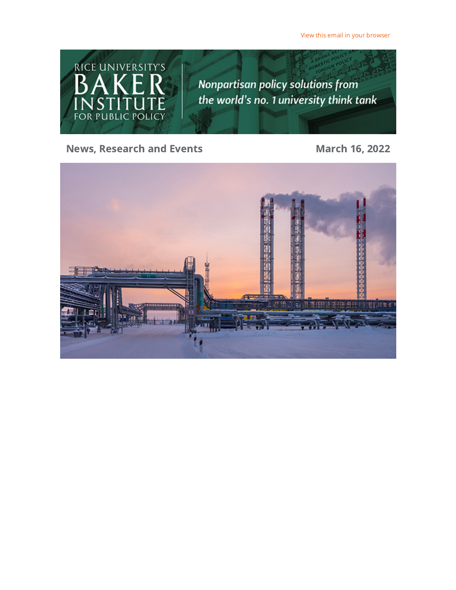View this email in your [browser](https://riceconnect.rice.edu/emailviewonwebpage.aspx?erid=993cd04a-77dc-4572-97b6-335a402f807b&trid=993cd04a-77dc-4572-97b6-335a402f807b)



#### News, Research and Events March 16, 2022

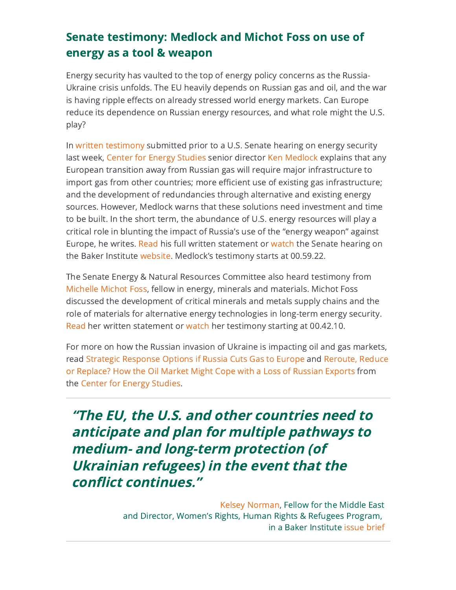# Senate testimony: Medlock and Michot Foss on use of energy as a tool & weapon

Energy security has vaulted to the top of energy policy concerns as the Russia-Ukraine crisis unfolds. The EU heavily depends on Russian gas and oil, and the war is having ripple effects on already stressed world energy markets. Can Europe reduce its dependence on Russian energy resources, and what role might the U.S. play?

In written [testimony](https://riceconnect.rice.edu/page.redir?target=https%3a%2f%2fwww.bakerinstitute.org%2ffiles%2f18162%2f&srcid=274443&srctid=1&erid=993cd04a-77dc-4572-97b6-335a402f807b&trid=993cd04a-77dc-4572-97b6-335a402f807b) submitted prior to a U.S. Senate hearing on energy security last week, Center for Energy [Studies](https://riceconnect.rice.edu/page.redir?target=https%3a%2f%2fwww.bakerinstitute.org%2fcenter-for-energy-studies%2f&srcid=274443&srctid=1&erid=993cd04a-77dc-4572-97b6-335a402f807b&trid=993cd04a-77dc-4572-97b6-335a402f807b) senior director Ken [Medlock](https://riceconnect.rice.edu/page.redir?target=https%3a%2f%2fwww.bakerinstitute.org%2fexperts%2fkenneth-b-medlock-iii%2f&srcid=274443&srctid=1&erid=993cd04a-77dc-4572-97b6-335a402f807b&trid=993cd04a-77dc-4572-97b6-335a402f807b) explains that any European transition away from Russian gas will require major infrastructure to import gas from other countries; more efficient use of existing gas infrastructure; and the development of redundancies through alternative and existing energy sources. However, Medlock warns that these solutions need investment and time to be built. In the short term, the abundance of U.S. energy resources will play a critical role in blunting the impact of Russia's use of the "energy weapon" against Europe, he writes. [Read](https://riceconnect.rice.edu/page.redir?target=https%3a%2f%2fwww.bakerinstitute.org%2ffiles%2f18162%2f&srcid=274443&srctid=1&erid=993cd04a-77dc-4572-97b6-335a402f807b&trid=993cd04a-77dc-4572-97b6-335a402f807b) his full written statement or [watch](https://riceconnect.rice.edu/page.redir?target=https%3a%2f%2fwww.energy.senate.gov%2fhearings%2f2022%2f3%2ffull-committee-hearing-to-examine-the-use-of-energy-as-a-tool-and-a-weapon&srcid=274443&srctid=1&erid=993cd04a-77dc-4572-97b6-335a402f807b&trid=993cd04a-77dc-4572-97b6-335a402f807b) the Senate hearing on the Baker Institute [website](https://riceconnect.rice.edu/page.redir?target=https%3a%2f%2fwww.bakerinstitute.org%2fresearch%2fsenate-testimony-use-energy-tool-and-weapon%2f&srcid=274443&srctid=1&erid=993cd04a-77dc-4572-97b6-335a402f807b&trid=993cd04a-77dc-4572-97b6-335a402f807b). Medlock's testimony starts at 00.59.22.

The Senate Energy & Natural Resources Committee also heard testimony from [Michelle](https://riceconnect.rice.edu/page.redir?target=https%3a%2f%2fwww.bakerinstitute.org%2fexperts%2fmichelle-michot-foss%2f&srcid=274443&srctid=1&erid=993cd04a-77dc-4572-97b6-335a402f807b&trid=993cd04a-77dc-4572-97b6-335a402f807b) Michot Foss, fellow in energy, minerals and materials. Michot Foss discussed the development of critical minerals and metals supply chains and the role of materials for alternative energy technologies in long-term energy security. [Read](https://riceconnect.rice.edu/page.redir?target=https%3a%2f%2fwww.bakerinstitute.org%2ffiles%2f18175%2f&srcid=274443&srctid=1&erid=993cd04a-77dc-4572-97b6-335a402f807b&trid=993cd04a-77dc-4572-97b6-335a402f807b) her written statement or [watch](https://riceconnect.rice.edu/page.redir?target=https%3a%2f%2fwww.energy.senate.gov%2fhearings%2f2022%2f3%2ffull-committee-hearing-to-examine-the-use-of-energy-as-a-tool-and-a-weapon&srcid=274443&srctid=1&erid=993cd04a-77dc-4572-97b6-335a402f807b&trid=993cd04a-77dc-4572-97b6-335a402f807b) her testimony starting at 00.42.10.

For more on how the Russian invasion of Ukraine is impacting oil and gas markets, read Strategic [Response](https://riceconnect.rice.edu/page.redir?target=https%3a%2f%2fwww.bakerinstitute.org%2ffiles%2f18104%2f&srcid=274443&srctid=1&erid=993cd04a-77dc-4572-97b6-335a402f807b&trid=993cd04a-77dc-4572-97b6-335a402f807b) Options if Russia Cuts Gas to Europe and Reroute, Reduce or Replace? How the Oil Market Might Cope with a Loss of Russian Exports from the Center for Energy [Studies.](https://riceconnect.rice.edu/page.redir?target=https%3a%2f%2fwww.bakerinstitute.org%2fcenter-for-energy-studies%2f&srcid=274443&srctid=1&erid=993cd04a-77dc-4572-97b6-335a402f807b&trid=993cd04a-77dc-4572-97b6-335a402f807b)

"The EU, the U.S. and other countries need to anticipate and plan for multiple pathways to medium- and long-term protection (of Ukrainian refugees) in the event that the conflict continues."

> Kelsey [Norman,](https://riceconnect.rice.edu/page.redir?target=https%3a%2f%2fwww.bakerinstitute.org%2fexperts%2fkelsey-norman%2f&srcid=274443&srctid=1&erid=993cd04a-77dc-4572-97b6-335a402f807b&trid=993cd04a-77dc-4572-97b6-335a402f807b) Fellow for the Middle East and Director, Women's Rights, Human Rights & Refugees Program, in a Baker Institute [issue](https://riceconnect.rice.edu/page.redir?target=https%3a%2f%2fwww.bakerinstitute.org%2ffiles%2f18119%2f&srcid=274443&srctid=1&erid=993cd04a-77dc-4572-97b6-335a402f807b&trid=993cd04a-77dc-4572-97b6-335a402f807b) brief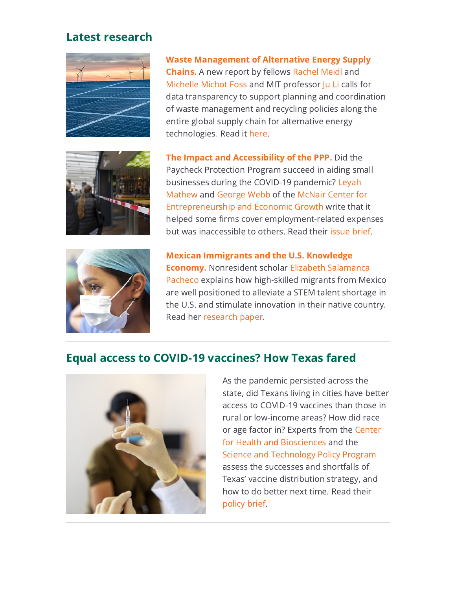### Latest research







Waste [Management](https://riceconnect.rice.edu/page.redir?target=https%3a%2f%2fwww.bakerinstitute.org%2fresearch%2fcall-action-recycling-and-waste-management-across-alternative-energy-supply-chains%2f&srcid=274443&srctid=1&erid=993cd04a-77dc-4572-97b6-335a402f807b&trid=993cd04a-77dc-4572-97b6-335a402f807b) of Alternative Energy Supply Chains. A new report by fellows [Rachel](https://riceconnect.rice.edu/page.redir?target=https%3a%2f%2fwww.bakerinstitute.org%2fexperts%2frachel-a-meidl%2f&srcid=274443&srctid=1&erid=993cd04a-77dc-4572-97b6-335a402f807b&trid=993cd04a-77dc-4572-97b6-335a402f807b) Meidl and [Michelle](https://riceconnect.rice.edu/page.redir?target=https%3a%2f%2fwww.bakerinstitute.org%2fexperts%2fmichelle-michot-foss%2f&srcid=274443&srctid=1&erid=993cd04a-77dc-4572-97b6-335a402f807b&trid=993cd04a-77dc-4572-97b6-335a402f807b) Michot Foss and MIT professor [Ju](https://riceconnect.rice.edu/page.redir?target=https%3a%2f%2fweb.mit.edu%2fnse%2fpeople%2ffaculty%2fli.html&srcid=274443&srctid=1&erid=993cd04a-77dc-4572-97b6-335a402f807b&trid=993cd04a-77dc-4572-97b6-335a402f807b) Li calls for data transparency to support planning and coordination of waste management and recycling policies along the entire global supply chain for alternative energy technologies. Read it [here](https://riceconnect.rice.edu/page.redir?target=https%3a%2f%2fwww.bakerinstitute.org%2ffiles%2f18117%2f&srcid=274443&srctid=1&erid=993cd04a-77dc-4572-97b6-335a402f807b&trid=993cd04a-77dc-4572-97b6-335a402f807b).

The Impact and [Accessibility](https://riceconnect.rice.edu/page.redir?target=https%3a%2f%2fwww.bakerinstitute.org%2fresearch%2fimpact-and-accessibility-paycheck-protection-program-small-businesses-during-covid-19%2f&srcid=274443&srctid=1&erid=993cd04a-77dc-4572-97b6-335a402f807b&trid=993cd04a-77dc-4572-97b6-335a402f807b) of the PPP. Did the Paycheck Protection Program succeed in aiding small [businesses](https://riceconnect.rice.edu/page.redir?target=https%3a%2f%2fwww.linkedin.com%2fin%2fleyah-mathew%2f&srcid=274443&srctid=1&erid=993cd04a-77dc-4572-97b6-335a402f807b&trid=993cd04a-77dc-4572-97b6-335a402f807b) during the COVID-19 pandemic? Leyah Mathew and [George](https://riceconnect.rice.edu/page.redir?target=https%3a%2f%2fwww.bakerinstitute.org%2fexperts%2fgeorge-webb%2f&srcid=274443&srctid=1&erid=993cd04a-77dc-4572-97b6-335a402f807b&trid=993cd04a-77dc-4572-97b6-335a402f807b) Webb of the McNair Center for [Entrepreneurship](https://riceconnect.rice.edu/page.redir?target=https%3a%2f%2fwww.bakerinstitute.org%2fmcnair-center%2f&srcid=274443&srctid=1&erid=993cd04a-77dc-4572-97b6-335a402f807b&trid=993cd04a-77dc-4572-97b6-335a402f807b) and Economic Growth write that it helped some firms cover employment-related expenses but was inaccessible to others. Read their [issue](https://riceconnect.rice.edu/page.redir?target=https%3a%2f%2fwww.bakerinstitute.org%2ffiles%2f18167%2f&srcid=274443&srctid=1&erid=993cd04a-77dc-4572-97b6-335a402f807b&trid=993cd04a-77dc-4572-97b6-335a402f807b) brief.

Mexican [Immigrants](https://riceconnect.rice.edu/page.redir?target=https%3a%2f%2fwww.bakerinstitute.org%2fresearch%2flinking-mexican-immigrants-contributions-to-the-us-knowledge-economy%2f&srcid=274443&srctid=1&erid=993cd04a-77dc-4572-97b6-335a402f807b&trid=993cd04a-77dc-4572-97b6-335a402f807b) and the U.S. Knowledge Economy. [Nonresident](https://riceconnect.rice.edu/page.redir?target=https%3a%2f%2fwww.bakerinstitute.org%2fexperts%2felizabeth-salamanca%2f&srcid=274443&srctid=1&erid=993cd04a-77dc-4572-97b6-335a402f807b&trid=993cd04a-77dc-4572-97b6-335a402f807b) scholar Elizabeth Salamanca Pacheco explains how high-skilled migrants from Mexico are well positioned to alleviate a STEM talent shortage in the U.S. and stimulate innovation in their native country. Read her [research](https://riceconnect.rice.edu/page.redir?target=https%3a%2f%2fwww.bakerinstitute.org%2ffiles%2f18098%2f&srcid=274443&srctid=1&erid=993cd04a-77dc-4572-97b6-335a402f807b&trid=993cd04a-77dc-4572-97b6-335a402f807b) paper.

#### Equal access to COVID-19 vaccines? How Texas fared



As the pandemic persisted across the state, did Texans living in cities have better access to COVID-19 vaccines than those in rural or low-income areas? How did race or age factor in? Experts from the Center for Health and [Biosciences](https://riceconnect.rice.edu/page.redir?target=https%3a%2f%2fwww.bakerinstitute.org%2fcenter-for-health-and-biosciences%2f&srcid=274443&srctid=1&erid=993cd04a-77dc-4572-97b6-335a402f807b&trid=993cd04a-77dc-4572-97b6-335a402f807b) and the Science and [Technology](https://riceconnect.rice.edu/page.redir?target=https%3a%2f%2fwww.bakerinstitute.org%2fscience-technology-policy%2f&srcid=274443&srctid=1&erid=993cd04a-77dc-4572-97b6-335a402f807b&trid=993cd04a-77dc-4572-97b6-335a402f807b) Policy Program assess the successes and shortfalls of Texas' vaccine distribution strategy, and how to do better next time. Read their [policy](https://riceconnect.rice.edu/page.redir?target=https%3a%2f%2fwww.bakerinstitute.org%2ffiles%2f18134%2f&srcid=274443&srctid=1&erid=993cd04a-77dc-4572-97b6-335a402f807b&trid=993cd04a-77dc-4572-97b6-335a402f807b) brief.